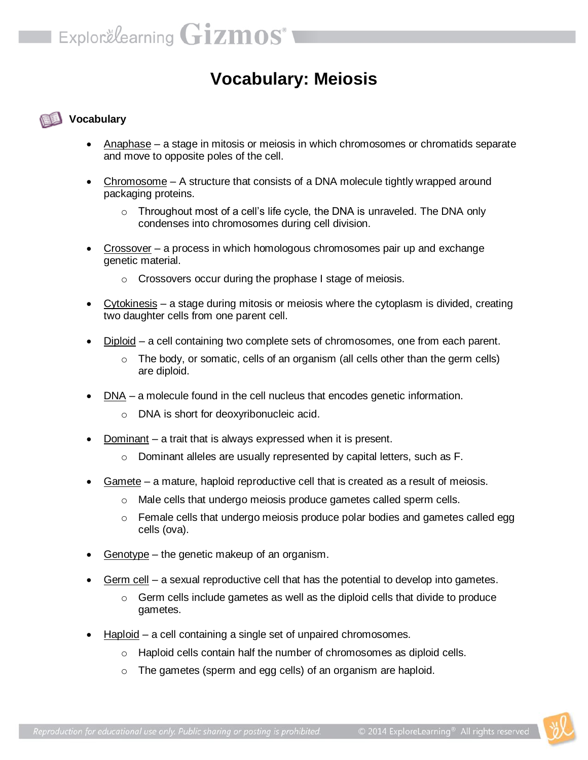## **Vocabulary: Meiosis**

## **Vocabulary**

- Anaphase a stage in mitosis or meiosis in which chromosomes or chromatids separate and move to opposite poles of the cell.
- Chromosome A structure that consists of a DNA molecule tightly wrapped around packaging proteins.
	- $\circ$  Throughout most of a cell's life cycle, the DNA is unraveled. The DNA only condenses into chromosomes during cell division.
- Crossover a process in which homologous chromosomes pair up and exchange genetic material.
	- o Crossovers occur during the prophase I stage of meiosis.
- Cytokinesis a stage during mitosis or meiosis where the cytoplasm is divided, creating two daughter cells from one parent cell.
- Diploid a cell containing two complete sets of chromosomes, one from each parent.
	- $\circ$  The body, or somatic, cells of an organism (all cells other than the germ cells) are diploid.
- DNA a molecule found in the cell nucleus that encodes genetic information.
	- o DNA is short for deoxyribonucleic acid.
- Dominant a trait that is always expressed when it is present.
	- o Dominant alleles are usually represented by capital letters, such as F.
- Gamete a mature, haploid reproductive cell that is created as a result of meiosis.
	- o Male cells that undergo meiosis produce gametes called sperm cells.
	- $\circ$  Female cells that undergo meiosis produce polar bodies and gametes called egg cells (ova).
- Genotype the genetic makeup of an organism.
- Germ cell a sexual reproductive cell that has the potential to develop into gametes.
	- $\circ$  Germ cells include gametes as well as the diploid cells that divide to produce gametes.
- Haploid a cell containing a single set of unpaired chromosomes.
	- $\circ$  Haploid cells contain half the number of chromosomes as diploid cells.
	- o The gametes (sperm and egg cells) of an organism are haploid.